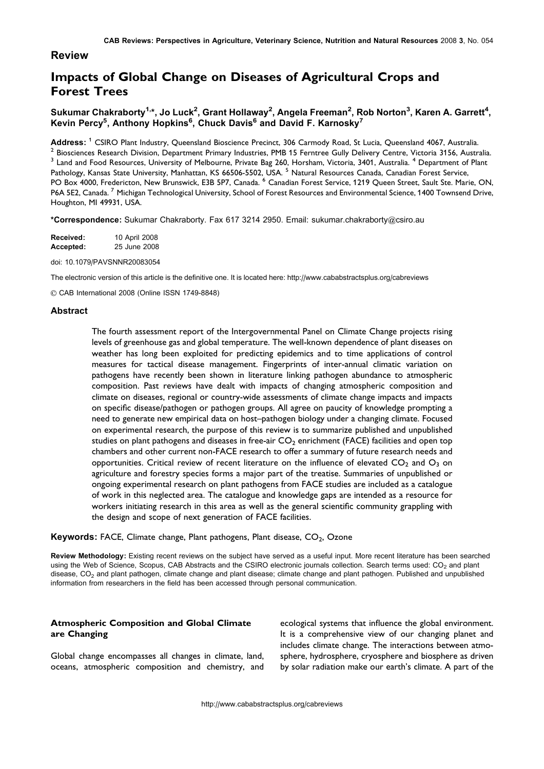# Review

# Impacts of Global Change on Diseases of Agricultural Crops and Forest Trees

Sukumar Chakraborty $^{1,*}$ , Jo Luck $^2$ , Grant Hollaway $^2$ , Angela Freeman $^2$ , Rob Norton $^3$ , Karen A. Garrett $^4$ , Kevin Percy<sup>5</sup>, Anthony Hopkins<sup>6</sup>, Chuck Davis<sup>6</sup> and David F. Karnosky<sup>7</sup>

Address: <sup>1</sup> CSIRO Plant Industry, Queensland Bioscience Precinct, 306 Carmody Road, St Lucia, Queensland 4067, Australia.<br><sup>2</sup> Biosciences Research Division, Department Primary Industries, PMB 15 Ferntree Gully Delivery Ce  $3$  Land and Food Resources, University of Melbourne, Private Bag 260, Horsham, Victoria, 3401, Australia.  $4$  Department of Plant Pathology, Kansas State University, Manhattan, KS 66506-5502, USA.<sup>5</sup> Natural Resources Canada, Canadian Forest Service, PO Box 4000, Fredericton, New Brunswick, E3B 5P7, Canada. <sup>6</sup> Canadian Forest Service, 1219 Queen Street, Sault Ste. Marie, ON, P6A 5E2, Canada.<sup>7</sup> Michigan Technological University, School of Forest Resources and Environmental Science, 1400 Townsend Drive, Houghton, MI 49931, USA.

\*Correspondence: Sukumar Chakraborty. Fax 617 3214 2950. Email: sukumar.chakraborty@csiro.au

| Received: | 10 April 2008 |
|-----------|---------------|
| Accepted: | 25 June 2008  |

doi: 10.1079/PAVSNNR20083054

The electronic version of this article is the definitive one. It is located here: http://www.cababstractsplus.org/cabreviews

*g* CAB International 2008 (Online ISSN 1749-8848)

### Abstract

The fourth assessment report of the Intergovernmental Panel on Climate Change projects rising levels of greenhouse gas and global temperature. The well-known dependence of plant diseases on weather has long been exploited for predicting epidemics and to time applications of control measures for tactical disease management. Fingerprints of inter-annual climatic variation on pathogens have recently been shown in literature linking pathogen abundance to atmospheric composition. Past reviews have dealt with impacts of changing atmospheric composition and climate on diseases, regional or country-wide assessments of climate change impacts and impacts on specific disease/pathogen or pathogen groups. All agree on paucity of knowledge prompting a need to generate new empirical data on host–pathogen biology under a changing climate. Focused on experimental research, the purpose of this review is to summarize published and unpublished studies on plant pathogens and diseases in free-air  $CO<sub>2</sub>$  enrichment (FACE) facilities and open top chambers and other current non-FACE research to offer a summary of future research needs and opportunities. Critical review of recent literature on the influence of elevated  $CO<sub>2</sub>$  and  $O<sub>3</sub>$  on agriculture and forestry species forms a major part of the treatise. Summaries of unpublished or ongoing experimental research on plant pathogens from FACE studies are included as a catalogue of work in this neglected area. The catalogue and knowledge gaps are intended as a resource for workers initiating research in this area as well as the general scientific community grappling with the design and scope of next generation of FACE facilities.

Keywords: FACE, Climate change, Plant pathogens, Plant disease, CO<sub>2</sub>, Ozone

Review Methodology: Existing recent reviews on the subject have served as a useful input. More recent literature has been searched using the Web of Science, Scopus, CAB Abstracts and the CSIRO electronic journals collection. Search terms used: CO<sub>2</sub> and plant disease, CO<sub>2</sub> and plant pathogen, climate change and plant disease; climate change and plant pathogen. Published and unpublished information from researchers in the field has been accessed through personal communication.

# Atmospheric Composition and Global Climate are Changing

Global change encompasses all changes in climate, land, oceans, atmospheric composition and chemistry, and

ecological systems that influence the global environment. It is a comprehensive view of our changing planet and includes climate change. The interactions between atmosphere, hydrosphere, cryosphere and biosphere as driven by solar radiation make our earth's climate. A part of the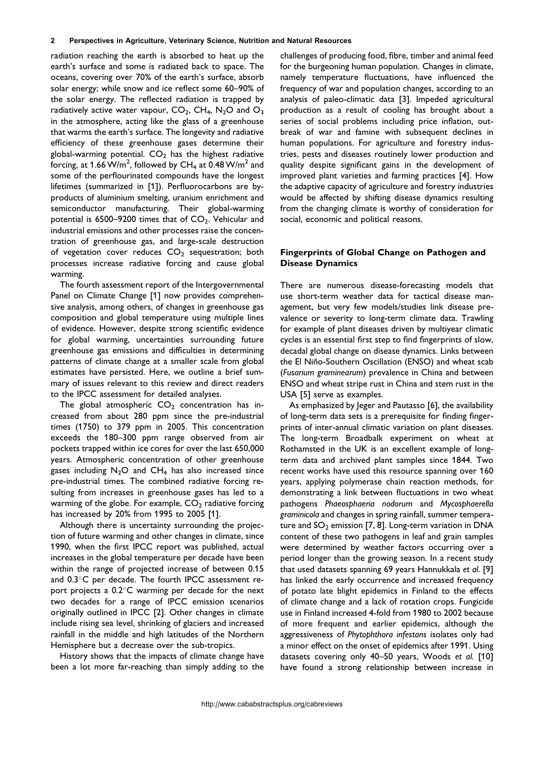radiation reaching the earth is absorbed to heat up the earth's surface and some is radiated back to space. The oceans, covering over 70% of the earth's surface, absorb solar energy; while snow and ice reflect some 60–90% of the solar energy. The reflected radiation is trapped by radiatively active water vapour,  $CO_2$ ,  $CH_4$ ,  $N_2O$  and  $O_3$ in the atmosphere, acting like the glass of a greenhouse that warms the earth's surface. The longevity and radiative efficiency of these greenhouse gases determine their global-warming potential.  $CO<sub>2</sub>$  has the highest radiative forcing, at 1.66  $\mathsf{W/m}^2$ , followed by  $\mathsf{CH}_4$  at 0.48  $\mathsf{W/m}^2$  and some of the perflourinated compounds have the longest lifetimes (summarized in [1]). Perfluorocarbons are byproducts of aluminium smelting, uranium enrichment and semiconductor manufacturing. Their global-warming potential is  $6500-9200$  times that of  $CO<sub>2</sub>$ . Vehicular and industrial emissions and other processes raise the concentration of greenhouse gas, and large-scale destruction of vegetation cover reduces  $CO<sub>2</sub>$  sequestration; both processes increase radiative forcing and cause global warming.

The fourth assessment report of the Intergovernmental Panel on Climate Change [1] now provides comprehensive analysis, among others, of changes in greenhouse gas composition and global temperature using multiple lines of evidence. However, despite strong scientific evidence for global warming, uncertainties surrounding future greenhouse gas emissions and difficulties in determining patterns of climate change at a smaller scale from global estimates have persisted. Here, we outline a brief summary of issues relevant to this review and direct readers to the IPCC assessment for detailed analyses.

The global atmospheric  $CO<sub>2</sub>$  concentration has increased from about 280 ppm since the pre-industrial times (1750) to 379 ppm in 2005. This concentration exceeds the 180–300 ppm range observed from air pockets trapped within ice cores for over the last 650,000 years. Atmospheric concentration of other greenhouse gases including  $N_2O$  and CH<sub>4</sub> has also increased since pre-industrial times. The combined radiative forcing resulting from increases in greenhouse gases has led to a warming of the globe. For example,  $CO<sub>2</sub>$  radiative forcing has increased by 20% from 1995 to 2005 [1].

Although there is uncertainty surrounding the projection of future warming and other changes in climate, since 1990, when the first IPCC report was published, actual increases in the global temperature per decade have been within the range of projected increase of between 0.15 and 0.3°C per decade. The fourth IPCC assessment report projects a  $0.2^{\circ}$ C warming per decade for the next two decades for a range of IPCC emission scenarios originally outlined in IPCC [2]. Other changes in climate include rising sea level, shrinking of glaciers and increased rainfall in the middle and high latitudes of the Northern Hemisphere but a decrease over the sub-tropics.

History shows that the impacts of climate change have been a lot more far-reaching than simply adding to the

challenges of producing food, fibre, timber and animal feed for the burgeoning human population. Changes in climate, namely temperature fluctuations, have influenced the frequency of war and population changes, according to an analysis of paleo-climatic data [3]. Impeded agricultural production as a result of cooling has brought about a series of social problems including price inflation, outbreak of war and famine with subsequent declines in human populations. For agriculture and forestry industries, pests and diseases routinely lower production and quality despite significant gains in the development of improved plant varieties and farming practices [4]. How the adaptive capacity of agriculture and forestry industries would be affected by shifting disease dynamics resulting from the changing climate is worthy of consideration for social, economic and political reasons.

# Fingerprints of Global Change on Pathogen and Disease Dynamics

There are numerous disease-forecasting models that use short-term weather data for tactical disease management, but very few models/studies link disease prevalence or severity to long-term climate data. Trawling for example of plant diseases driven by multiyear climatic cycles is an essential first step to find fingerprints of slow, decadal global change on disease dynamics. Links between the El Niño-Southern Oscillation (ENSO) and wheat scab (Fusarium graminearum) prevalence in China and between ENSO and wheat stripe rust in China and stem rust in the USA [5] serve as examples.

As emphasized by Jeger and Pautasso [6], the availability of long-term data sets is a prerequisite for finding fingerprints of inter-annual climatic variation on plant diseases. The long-term Broadbalk experiment on wheat at Rothamsted in the UK is an excellent example of longterm data and archived plant samples since 1844. Two recent works have used this resource spanning over 160 years, applying polymerase chain reaction methods, for demonstrating a link between fluctuations in two wheat pathogens Phaeosphaeria nodorum and Mycosphaerella graminicola and changes in spring rainfall, summer temperature and  $SO_2$  emission [7, 8]. Long-term variation in DNA content of these two pathogens in leaf and grain samples were determined by weather factors occurring over a period longer than the growing season. In a recent study that used datasets spanning 69 years Hannukkala et al. [9] has linked the early occurrence and increased frequency of potato late blight epidemics in Finland to the effects of climate change and a lack of rotation crops. Fungicide use in Finland increased 4-fold from 1980 to 2002 because of more frequent and earlier epidemics, although the aggressiveness of Phytophthora infestans isolates only had a minor effect on the onset of epidemics after 1991. Using datasets covering only 40–50 years, Woods et al. [10] have found a strong relationship between increase in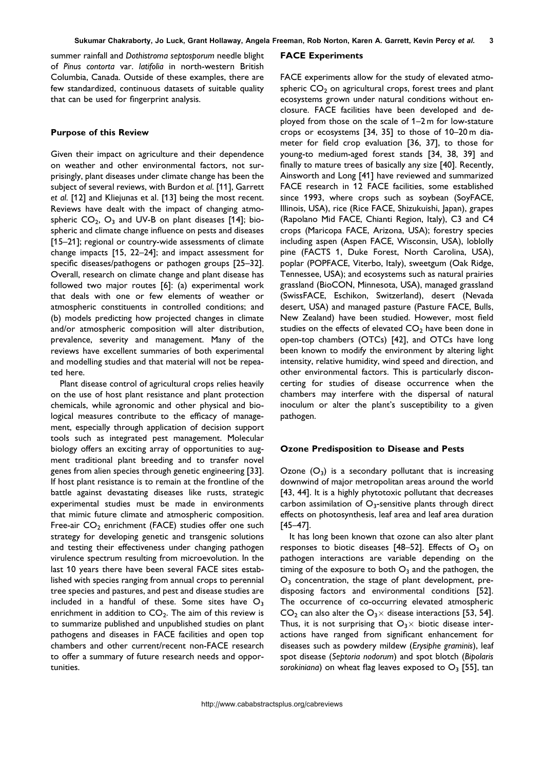summer rainfall and Dothistroma septosporum needle blight of Pinus contorta var. latifolia in north-western British Columbia, Canada. Outside of these examples, there are few standardized, continuous datasets of suitable quality that can be used for fingerprint analysis.

### Purpose of this Review

Given their impact on agriculture and their dependence on weather and other environmental factors, not surprisingly, plant diseases under climate change has been the subiect of several reviews, with Burdon et al. [11], Garrett et al. [12] and Kliejunas et al. [13] being the most recent. Reviews have dealt with the impact of changing atmospheric  $CO<sub>2</sub>$ ,  $O<sub>3</sub>$  and UV-B on plant diseases [14]; biospheric and climate change influence on pests and diseases [15–21]; regional or country-wide assessments of climate change impacts [15, 22–24]; and impact assessment for specific diseases/pathogens or pathogen groups [25–32]. Overall, research on climate change and plant disease has followed two major routes [6]: (a) experimental work that deals with one or few elements of weather or atmospheric constituents in controlled conditions; and (b) models predicting how projected changes in climate and/or atmospheric composition will alter distribution, prevalence, severity and management. Many of the reviews have excellent summaries of both experimental and modelling studies and that material will not be repeated here.

Plant disease control of agricultural crops relies heavily on the use of host plant resistance and plant protection chemicals, while agronomic and other physical and biological measures contribute to the efficacy of management, especially through application of decision support tools such as integrated pest management. Molecular biology offers an exciting array of opportunities to augment traditional plant breeding and to transfer novel genes from alien species through genetic engineering [33]. If host plant resistance is to remain at the frontline of the battle against devastating diseases like rusts, strategic experimental studies must be made in environments that mimic future climate and atmospheric composition. Free-air  $CO<sub>2</sub>$  enrichment (FACE) studies offer one such strategy for developing genetic and transgenic solutions and testing their effectiveness under changing pathogen virulence spectrum resulting from microevolution. In the last 10 years there have been several FACE sites established with species ranging from annual crops to perennial tree species and pastures, and pest and disease studies are included in a handful of these. Some sites have  $O_3$ enrichment in addition to  $CO<sub>2</sub>$ . The aim of this review is to summarize published and unpublished studies on plant pathogens and diseases in FACE facilities and open top chambers and other current/recent non-FACE research to offer a summary of future research needs and opportunities.

# FACE Experiments

FACE experiments allow for the study of elevated atmospheric  $CO<sub>2</sub>$  on agricultural crops, forest trees and plant ecosystems grown under natural conditions without enclosure. FACE facilities have been developed and deployed from those on the scale of 1–2 m for low-stature crops or ecosystems [34, 35] to those of 10–20 m diameter for field crop evaluation [36, 37], to those for young-to medium-aged forest stands [34, 38, 39] and finally to mature trees of basically any size [40]. Recently, Ainsworth and Long [41] have reviewed and summarized FACE research in 12 FACE facilities, some established since 1993, where crops such as soybean (SoyFACE, Illinois, USA), rice (Rice FACE, Shizukuishi, Japan), grapes (Rapolano Mid FACE, Chianti Region, Italy), C3 and C4 crops (Maricopa FACE, Arizona, USA); forestry species including aspen (Aspen FACE, Wisconsin, USA), loblolly pine (FACTS 1, Duke Forest, North Carolina, USA), poplar (POPFACE, Viterbo, Italy), sweetgum (Oak Ridge, Tennessee, USA); and ecosystems such as natural prairies grassland (BioCON, Minnesota, USA), managed grassland (SwissFACE, Eschikon, Switzerland), desert (Nevada desert, USA) and managed pasture (Pasture FACE, Bulls, New Zealand) have been studied. However, most field studies on the effects of elevated  $CO<sub>2</sub>$  have been done in open-top chambers (OTCs) [42], and OTCs have long been known to modify the environment by altering light intensity, relative humidity, wind speed and direction, and other environmental factors. This is particularly disconcerting for studies of disease occurrence when the chambers may interfere with the dispersal of natural inoculum or alter the plant's susceptibility to a given pathogen.

### Ozone Predisposition to Disease and Pests

Ozone  $(O_3)$  is a secondary pollutant that is increasing downwind of major metropolitan areas around the world [43, 44]. It is a highly phytotoxic pollutant that decreases carbon assimilation of  $O<sub>3</sub>$ -sensitive plants through direct effects on photosynthesis, leaf area and leaf area duration [45–47].

It has long been known that ozone can also alter plant responses to biotic diseases [48-52]. Effects of  $O_3$  on pathogen interactions are variable depending on the timing of the exposure to both  $O_3$  and the pathogen, the  $O<sub>3</sub>$  concentration, the stage of plant development, predisposing factors and environmental conditions [52]. The occurrence of co-occurring elevated atmospheric  $\mathsf{CO}_2$  can also alter the  $\mathsf{O}_3\times$  disease interactions [53, 54]. Thus, it is not surprising that  $O_3\times$  biotic disease interactions have ranged from significant enhancement for diseases such as powdery mildew (Erysiphe graminis), leaf spot disease (Septoria nodorum) and spot blotch (Bipolaris sorokiniana) on wheat flag leaves exposed to  $O_3$  [55], tan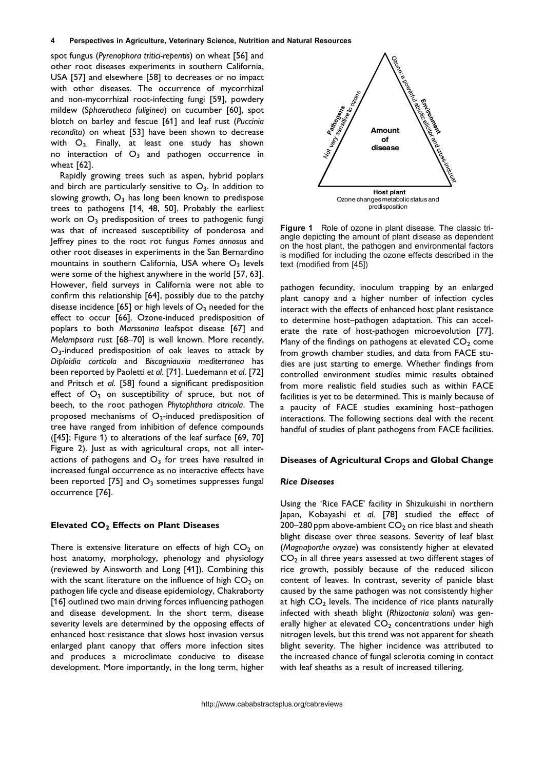spot fungus (Pyrenophora tritici-repentis) on wheat [56] and other root diseases experiments in southern California, USA [57] and elsewhere [58] to decreases or no impact with other diseases. The occurrence of mycorrhizal and non-mycorrhizal root-infecting fungi [59], powdery mildew (Sphaerotheca fuliginea) on cucumber [60], spot blotch on barley and fescue [61] and leaf rust (Puccinia recondita) on wheat [53] have been shown to decrease with  $O_{3}$ . Finally, at least one study has shown no interaction of  $O_3$  and pathogen occurrence in wheat [62].

Rapidly growing trees such as aspen, hybrid poplars and birch are particularly sensitive to  $O_3$ . In addition to slowing growth,  $O_3$  has long been known to predispose trees to pathogens [14, 48, 50]. Probably the earliest work on  $O_3$  predisposition of trees to pathogenic fungi was that of increased susceptibility of ponderosa and Jeffrey pines to the root rot fungus Fomes annosus and other root diseases in experiments in the San Bernardino mountains in southern California, USA where  $O_3$  levels were some of the highest anywhere in the world [57, 63]. However, field surveys in California were not able to confirm this relationship [64], possibly due to the patchy disease incidence [65] or high levels of  $O_3$  needed for the effect to occur [66]. Ozone-induced predisposition of poplars to both Marssonina leafspot disease [67] and Melampsora rust [68–70] is well known. More recently,  $O<sub>3</sub>$ -induced predisposition of oak leaves to attack by Diploidia corticola and Biscogniauxia mediterranea has been reported by Paoletti et al. [71]. Luedemann et al. [72] and Pritsch et al. [58] found a significant predisposition effect of  $O_3$  on susceptibility of spruce, but not of beech, to the root pathogen Phytophthora citricola. The proposed mechanisms of  $O<sub>3</sub>$ -induced predisposition of tree have ranged from inhibition of defence compounds ([45]; Figure 1) to alterations of the leaf surface [69, 70] Figure 2). Just as with agricultural crops, not all interactions of pathogens and  $O_3$  for trees have resulted in increased fungal occurrence as no interactive effects have been reported [75] and  $O_3$  sometimes suppresses fungal occurrence [76].

### Elevated CO<sub>2</sub> Effects on Plant Diseases

There is extensive literature on effects of high  $CO<sub>2</sub>$  on host anatomy, morphology, phenology and physiology (reviewed by Ainsworth and Long [41]). Combining this with the scant literature on the influence of high  $CO<sub>2</sub>$  on pathogen life cycle and disease epidemiology, Chakraborty [16] outlined two main driving forces influencing pathogen and disease development. In the short term, disease severity levels are determined by the opposing effects of enhanced host resistance that slows host invasion versus enlarged plant canopy that offers more infection sites and produces a microclimate conducive to disease development. More importantly, in the long term, higher



Figure 1 Role of ozone in plant disease. The classic triangle depicting the amount of plant disease as dependent on the host plant, the pathogen and environmental factors is modified for including the ozone effects described in the text (modified from [45])

pathogen fecundity, inoculum trapping by an enlarged plant canopy and a higher number of infection cycles interact with the effects of enhanced host plant resistance to determine host–pathogen adaptation. This can accelerate the rate of host-pathogen microevolution [77]. Many of the findings on pathogens at elevated  $CO<sub>2</sub>$  come from growth chamber studies, and data from FACE studies are just starting to emerge. Whether findings from controlled environment studies mimic results obtained from more realistic field studies such as within FACE facilities is yet to be determined. This is mainly because of a paucity of FACE studies examining host–pathogen interactions. The following sections deal with the recent handful of studies of plant pathogens from FACE facilities.

#### Diseases of Agricultural Crops and Global Change

#### Rice Diseases

Using the 'Rice FACE' facility in Shizukuishi in northern Japan, Kobayashi et al. [78] studied the effect of 200–280 ppm above-ambient  $CO<sub>2</sub>$  on rice blast and sheath blight disease over three seasons. Severity of leaf blast (Magnaporthe oryzae) was consistently higher at elevated  $CO<sub>2</sub>$  in all three years assessed at two different stages of rice growth, possibly because of the reduced silicon content of leaves. In contrast, severity of panicle blast caused by the same pathogen was not consistently higher at high  $CO<sub>2</sub>$  levels. The incidence of rice plants naturally infected with sheath blight (Rhizoctonia solani) was generally higher at elevated  $CO<sub>2</sub>$  concentrations under high nitrogen levels, but this trend was not apparent for sheath blight severity. The higher incidence was attributed to the increased chance of fungal sclerotia coming in contact with leaf sheaths as a result of increased tillering.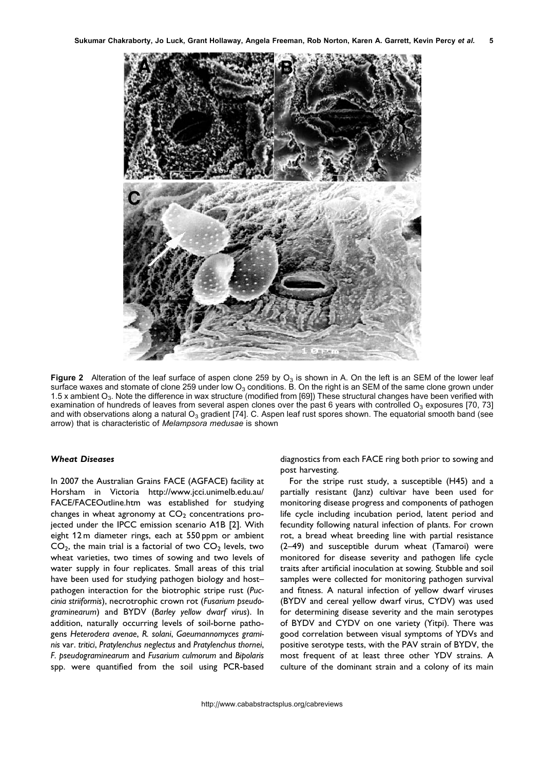

Figure 2 Alteration of the leaf surface of aspen clone 259 by  $O_3$  is shown in A. On the left is an SEM of the lower leaf surface waxes and stomate of clone 259 under low  $O_3$  conditions. B. On the right is an SEM of the same clone grown under 1.5 x ambient  $O_3$ . Note the difference in wax structure (modified from [69]) These structural changes have been verified with examination of hundreds of leaves from several aspen clones over the past 6 years with controlled  $O_3$  exposures [70, 73] and with observations along a natural  $O_3$  gradient [74]. C. Aspen leaf rust spores shown. The equatorial smooth band (see arrow) that is characteristic of Melampsora medusae is shown

### Wheat Diseases

In 2007 the Australian Grains FACE (AGFACE) facility at Horsham in Victoria http://www.jcci.unimelb.edu.au/ FACE/FACEOutline.htm was established for studying changes in wheat agronomy at  $CO<sub>2</sub>$  concentrations projected under the IPCC emission scenario A1B [2]. With eight 12 m diameter rings, each at 550 ppm or ambient  $CO<sub>2</sub>$ , the main trial is a factorial of two  $CO<sub>2</sub>$  levels, two wheat varieties, two times of sowing and two levels of water supply in four replicates. Small areas of this trial have been used for studying pathogen biology and host– pathogen interaction for the biotrophic stripe rust (Puccinia striiformis), necrotrophic crown rot (Fusarium pseudograminearum) and BYDV (Barley yellow dwarf virus). In addition, naturally occurring levels of soil-borne pathogens Heterodera avenae, R. solani, Gaeumannomyces graminis var. tritici, Pratylenchus neglectus and Pratylenchus thornei, F. pseudograminearum and Fusarium culmorum and Bipolaris spp. were quantified from the soil using PCR-based

diagnostics from each FACE ring both prior to sowing and post harvesting.

For the stripe rust study, a susceptible (H45) and a partially resistant (Janz) cultivar have been used for monitoring disease progress and components of pathogen life cycle including incubation period, latent period and fecundity following natural infection of plants. For crown rot, a bread wheat breeding line with partial resistance (2–49) and susceptible durum wheat (Tamaroi) were monitored for disease severity and pathogen life cycle traits after artificial inoculation at sowing. Stubble and soil samples were collected for monitoring pathogen survival and fitness. A natural infection of yellow dwarf viruses (BYDV and cereal yellow dwarf virus, CYDV) was used for determining disease severity and the main serotypes of BYDV and CYDV on one variety (Yitpi). There was good correlation between visual symptoms of YDVs and positive serotype tests, with the PAV strain of BYDV, the most frequent of at least three other YDV strains. A culture of the dominant strain and a colony of its main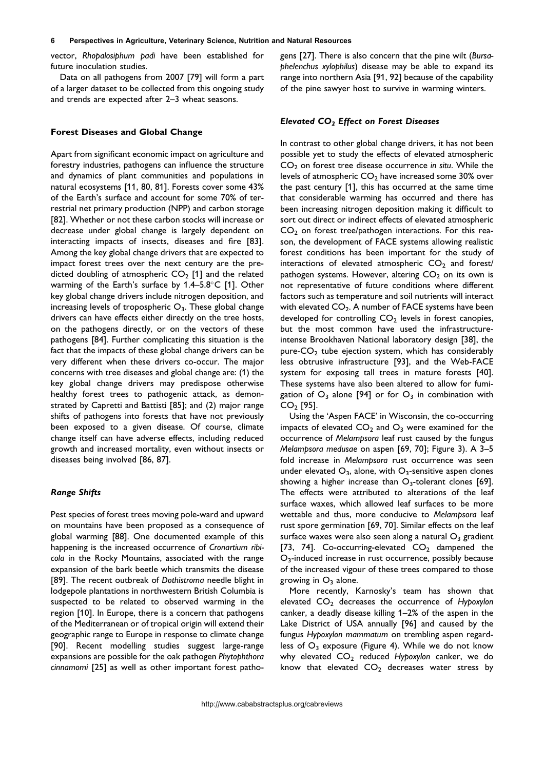vector, Rhopalosiphum padi have been established for future inoculation studies.

Data on all pathogens from 2007 [79] will form a part of a larger dataset to be collected from this ongoing study and trends are expected after 2–3 wheat seasons.

### Forest Diseases and Global Change

Apart from significant economic impact on agriculture and forestry industries, pathogens can influence the structure and dynamics of plant communities and populations in natural ecosystems [11, 80, 81]. Forests cover some 43% of the Earth's surface and account for some 70% of terrestrial net primary production (NPP) and carbon storage [82]. Whether or not these carbon stocks will increase or decrease under global change is largely dependent on interacting impacts of insects, diseases and fire [83]. Among the key global change drivers that are expected to impact forest trees over the next century are the predicted doubling of atmospheric  $CO<sub>2</sub>$  [1] and the related warming of the Earth's surface by  $1.4-5.8^{\circ}$ C [1]. Other key global change drivers include nitrogen deposition, and increasing levels of tropospheric  $O_3$ . These global change drivers can have effects either directly on the tree hosts, on the pathogens directly, or on the vectors of these pathogens [84]. Further complicating this situation is the fact that the impacts of these global change drivers can be very different when these drivers co-occur. The major concerns with tree diseases and global change are: (1) the key global change drivers may predispose otherwise healthy forest trees to pathogenic attack, as demonstrated by Capretti and Battisti [85]; and (2) major range shifts of pathogens into forests that have not previously been exposed to a given disease. Of course, climate change itself can have adverse effects, including reduced growth and increased mortality, even without insects or diseases being involved [86, 87].

# Range Shifts

Pest species of forest trees moving pole-ward and upward on mountains have been proposed as a consequence of global warming [88]. One documented example of this happening is the increased occurrence of Cronartium ribicola in the Rocky Mountains, associated with the range expansion of the bark beetle which transmits the disease [89]. The recent outbreak of Dothistroma needle blight in lodgepole plantations in northwestern British Columbia is suspected to be related to observed warming in the region [10]. In Europe, there is a concern that pathogens of the Mediterranean or of tropical origin will extend their geographic range to Europe in response to climate change [90]. Recent modelling studies suggest large-range expansions are possible for the oak pathogen Phytophthora cinnamomi [25] as well as other important forest pathogens [27]. There is also concern that the pine wilt (Bursaphelenchus xylophilus) disease may be able to expand its range into northern Asia [91, 92] because of the capability of the pine sawyer host to survive in warming winters.

#### Elevated  $CO<sub>2</sub>$  Effect on Forest Diseases

In contrast to other global change drivers, it has not been possible yet to study the effects of elevated atmospheric  $CO<sub>2</sub>$  on forest tree disease occurrence in situ. While the levels of atmospheric  $CO<sub>2</sub>$  have increased some 30% over the past century [1], this has occurred at the same time that considerable warming has occurred and there has been increasing nitrogen deposition making it difficult to sort out direct or indirect effects of elevated atmospheric  $CO<sub>2</sub>$  on forest tree/pathogen interactions. For this reason, the development of FACE systems allowing realistic forest conditions has been important for the study of interactions of elevated atmospheric  $CO<sub>2</sub>$  and forest/ pathogen systems. However, altering  $CO<sub>2</sub>$  on its own is not representative of future conditions where different factors such as temperature and soil nutrients will interact with elevated CO<sub>2</sub>. A number of FACE systems have been developed for controlling  $CO<sub>2</sub>$  levels in forest canopies, but the most common have used the infrastructureintense Brookhaven National laboratory design [38], the pure- $CO<sub>2</sub>$  tube ejection system, which has considerably less obtrusive infrastructure [93], and the Web-FACE system for exposing tall trees in mature forests [40]. These systems have also been altered to allow for fumigation of  $O_3$  alone [94] or for  $O_3$  in combination with  $CO<sub>2</sub>$  [95].

Using the 'Aspen FACE' in Wisconsin, the co-occurring impacts of elevated  $CO<sub>2</sub>$  and  $O<sub>3</sub>$  were examined for the occurrence of Melampsora leaf rust caused by the fungus Melampsora medusae on aspen [69, 70]; Figure 3). A 3–5 fold increase in Melampsora rust occurrence was seen under elevated  $O_3$ , alone, with  $O_3$ -sensitive aspen clones showing a higher increase than  $O_3$ -tolerant clones [69]. The effects were attributed to alterations of the leaf surface waxes, which allowed leaf surfaces to be more wettable and thus, more conducive to Melampsora leaf rust spore germination [69, 70]. Similar effects on the leaf surface waxes were also seen along a natural  $O_3$  gradient [73, 74]. Co-occurring-elevated  $CO<sub>2</sub>$  dampened the  $O<sub>3</sub>$ -induced increase in rust occurrence, possibly because of the increased vigour of these trees compared to those growing in  $O_3$  alone.

More recently, Karnosky's team has shown that elevated  $CO<sub>2</sub>$  decreases the occurrence of Hypoxylon canker, a deadly disease killing 1–2% of the aspen in the Lake District of USA annually [96] and caused by the fungus Hypoxylon mammatum on trembling aspen regardless of  $O_3$  exposure (Figure 4). While we do not know why elevated  $CO<sub>2</sub>$  reduced Hypoxylon canker, we do know that elevated  $CO<sub>2</sub>$  decreases water stress by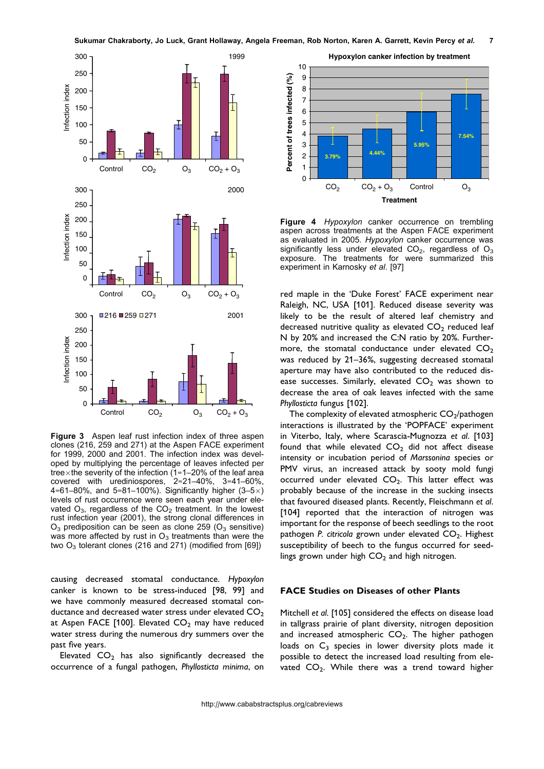

Figure 3 Aspen leaf rust infection index of three aspen clones (216, 259 and 271) at the Aspen FACE experiment for 1999, 2000 and 2001. The infection index was developed by multiplying the percentage of leaves infected per tree $\times$ the severity of the infection (1=1–20% of the leaf area covered with urediniospores, 2=21–40%, 3=41–60%, 4=61–80%, and 5=81–100%). Significantly higher (3–5 $\times$ ) levels of rust occurrence were seen each year under elevated  $O_3$ , regardless of the  $CO_2$  treatment. In the lowest rust infection year (2001), the strong clonal differences in  $O_3$  prediposition can be seen as clone 259 ( $O_3$  sensitive) was more affected by rust in  $O_3$  treatments than were the two  $O_3$  tolerant clones (216 and 271) (modified from [69])

causing decreased stomatal conductance. Hypoxylon canker is known to be stress-induced [98, 99] and we have commonly measured decreased stomatal conductance and decreased water stress under elevated  $CO<sub>2</sub>$ at Aspen FACE [100]. Elevated  $CO<sub>2</sub>$  may have reduced water stress during the numerous dry summers over the past five years.

Elevated  $CO<sub>2</sub>$  has also significantly decreased the occurrence of a fungal pathogen, Phyllosticta minima, on



Figure 4 Hypoxylon canker occurrence on trembling aspen across treatments at the Aspen FACE experiment as evaluated in 2005. Hypoxylon canker occurrence was significantly less under elevated  $CO<sub>2</sub>$ , regardless of  $O<sub>3</sub>$ exposure. The treatments for were summarized this experiment in Karnosky et al. [97]

red maple in the 'Duke Forest' FACE experiment near Raleigh, NC, USA [101]. Reduced disease severity was likely to be the result of altered leaf chemistry and decreased nutritive quality as elevated  $CO<sub>2</sub>$  reduced leaf N by 20% and increased the C:N ratio by 20%. Furthermore, the stomatal conductance under elevated  $CO<sub>2</sub>$ was reduced by 21–36%, suggesting decreased stomatal aperture may have also contributed to the reduced disease successes. Similarly, elevated  $CO<sub>2</sub>$  was shown to decrease the area of oak leaves infected with the same Phyllosticta fungus [102].

The complexity of elevated atmospheric  $CO<sub>2</sub>/pathogen$ interactions is illustrated by the 'POPFACE' experiment in Viterbo, Italy, where Scarascia-Mugnozza et al. [103] found that while elevated  $CO<sub>2</sub>$  did not affect disease intensity or incubation period of Marssonina species or PMV virus, an increased attack by sooty mold fungi occurred under elevated CO<sub>2</sub>. This latter effect was probably because of the increase in the sucking insects that favoured diseased plants. Recently, Fleischmann et al. [104] reported that the interaction of nitrogen was important for the response of beech seedlings to the root pathogen P. citricola grown under elevated  $CO<sub>2</sub>$ . Highest susceptibility of beech to the fungus occurred for seedlings grown under high  $CO<sub>2</sub>$  and high nitrogen.

## FACE Studies on Diseases of other Plants

Mitchell et al. [105] considered the effects on disease load in tallgrass prairie of plant diversity, nitrogen deposition and increased atmospheric  $CO<sub>2</sub>$ . The higher pathogen loads on  $C_3$  species in lower diversity plots made it possible to detect the increased load resulting from elevated  $CO<sub>2</sub>$ . While there was a trend toward higher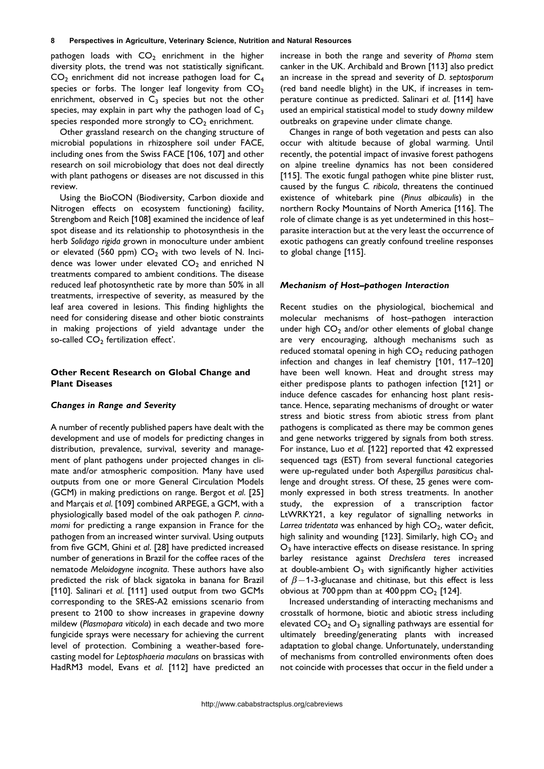pathogen loads with  $CO<sub>2</sub>$  enrichment in the higher diversity plots, the trend was not statistically significant.  $CO<sub>2</sub>$  enrichment did not increase pathogen load for  $C<sub>4</sub>$ species or forbs. The longer leaf longevity from  $CO<sub>2</sub>$ enrichment, observed in  $C_3$  species but not the other species, may explain in part why the pathogen load of  $C_3$ species responded more strongly to  $CO<sub>2</sub>$  enrichment.

Other grassland research on the changing structure of microbial populations in rhizosphere soil under FACE, including ones from the Swiss FACE [106, 107] and other research on soil microbiology that does not deal directly with plant pathogens or diseases are not discussed in this review.

Using the BioCON (Biodiversity, Carbon dioxide and Nitrogen effects on ecosystem functioning) facility, Strengbom and Reich [108] examined the incidence of leaf spot disease and its relationship to photosynthesis in the herb Solidago rigida grown in monoculture under ambient or elevated (560 ppm)  $CO<sub>2</sub>$  with two levels of N. Incidence was lower under elevated  $CO<sub>2</sub>$  and enriched N treatments compared to ambient conditions. The disease reduced leaf photosynthetic rate by more than 50% in all treatments, irrespective of severity, as measured by the leaf area covered in lesions. This finding highlights the need for considering disease and other biotic constraints in making projections of yield advantage under the so-called  $CO<sub>2</sub>$  fertilization effect'.

# Other Recent Research on Global Change and Plant Diseases

## Changes in Range and Severity

A number of recently published papers have dealt with the development and use of models for predicting changes in distribution, prevalence, survival, severity and management of plant pathogens under projected changes in climate and/or atmospheric composition. Many have used outputs from one or more General Circulation Models (GCM) in making predictions on range. Bergot et al. [25] and Marçais et al. [109] combined ARPEGE, a GCM, with a physiologically based model of the oak pathogen P. cinnamomi for predicting a range expansion in France for the pathogen from an increased winter survival. Using outputs from five GCM, Ghini et al. [28] have predicted increased number of generations in Brazil for the coffee races of the nematode Meloidogyne incognita. These authors have also predicted the risk of black sigatoka in banana for Brazil [110]. Salinari et al. [111] used output from two GCMs corresponding to the SRES-A2 emissions scenario from present to 2100 to show increases in grapevine downy mildew (Plasmopara viticola) in each decade and two more fungicide sprays were necessary for achieving the current level of protection. Combining a weather-based forecasting model for Leptosphaeria maculans on brassicas with HadRM3 model, Evans et al. [112] have predicted an increase in both the range and severity of Phoma stem canker in the UK. Archibald and Brown [113] also predict an increase in the spread and severity of D. septosporum (red band needle blight) in the UK, if increases in temperature continue as predicted. Salinari et al. [114] have used an empirical statistical model to study downy mildew outbreaks on grapevine under climate change.

Changes in range of both vegetation and pests can also occur with altitude because of global warming. Until recently, the potential impact of invasive forest pathogens on alpine treeline dynamics has not been considered [115]. The exotic fungal pathogen white pine blister rust, caused by the fungus C. ribicola, threatens the continued existence of whitebark pine (Pinus albicaulis) in the northern Rocky Mountains of North America [116]. The role of climate change is as yet undetermined in this host– parasite interaction but at the very least the occurrence of exotic pathogens can greatly confound treeline responses to global change [115].

### Mechanism of Host–pathogen Interaction

Recent studies on the physiological, biochemical and molecular mechanisms of host–pathogen interaction under high  $CO<sub>2</sub>$  and/or other elements of global change are very encouraging, although mechanisms such as reduced stomatal opening in high  $CO<sub>2</sub>$  reducing pathogen infection and changes in leaf chemistry [101, 117–120] have been well known. Heat and drought stress may either predispose plants to pathogen infection [121] or induce defence cascades for enhancing host plant resistance. Hence, separating mechanisms of drought or water stress and biotic stress from abiotic stress from plant pathogens is complicated as there may be common genes and gene networks triggered by signals from both stress. For instance, Luo et al. [122] reported that 42 expressed sequenced tags (EST) from several functional categories were up-regulated under both Aspergillus parasiticus challenge and drought stress. Of these, 25 genes were commonly expressed in both stress treatments. In another study, the expression of a transcription factor LtWRKY21, a key regulator of signalling networks in Larrea tridentata was enhanced by high  $CO<sub>2</sub>$ , water deficit, high salinity and wounding [123]. Similarly, high  $CO<sub>2</sub>$  and  $O<sub>3</sub>$  have interactive effects on disease resistance. In spring barley resistance against Drechslera teres increased at double-ambient  $O_3$  with significantly higher activities of  $\beta$ -1-3-glucanase and chitinase, but this effect is less obvious at 700 ppm than at 400 ppm  $CO<sub>2</sub>$  [124].

Increased understanding of interacting mechanisms and crosstalk of hormone, biotic and abiotic stress including elevated  $CO<sub>2</sub>$  and  $O<sub>3</sub>$  signalling pathways are essential for ultimately breeding/generating plants with increased adaptation to global change. Unfortunately, understanding of mechanisms from controlled environments often does not coincide with processes that occur in the field under a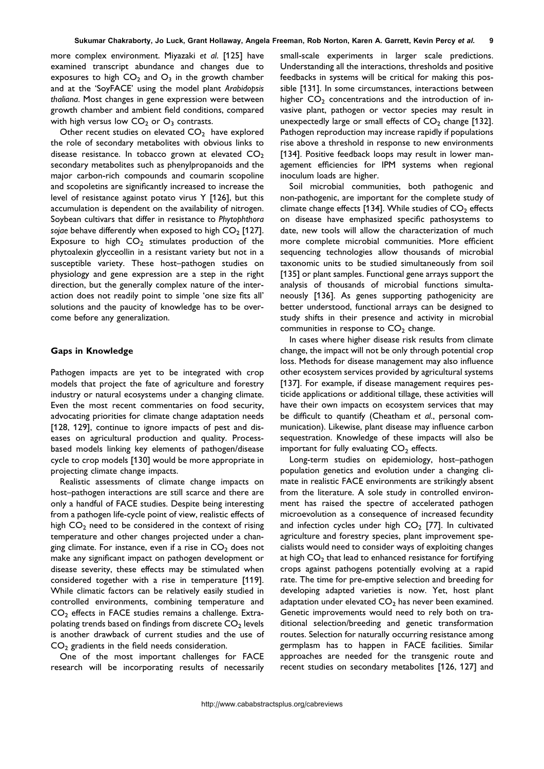more complex environment. Miyazaki et al. [125] have examined transcript abundance and changes due to exposures to high  $CO<sub>2</sub>$  and  $O<sub>3</sub>$  in the growth chamber and at the 'SoyFACE' using the model plant Arabidopsis thaliana. Most changes in gene expression were between growth chamber and ambient field conditions, compared with high versus low  $CO<sub>2</sub>$  or  $O<sub>3</sub>$  contrasts.

Other recent studies on elevated  $CO<sub>2</sub>$  have explored the role of secondary metabolites with obvious links to disease resistance. In tobacco grown at elevated  $CO<sub>2</sub>$ secondary metabolites such as phenylpropanoids and the major carbon-rich compounds and coumarin scopoline and scopoletins are significantly increased to increase the level of resistance against potato virus Y [126], but this accumulation is dependent on the availability of nitrogen. Soybean cultivars that differ in resistance to Phytophthora sojae behave differently when exposed to high  $CO<sub>2</sub>$  [127]. Exposure to high  $CO<sub>2</sub>$  stimulates production of the phytoalexin glycceollin in a resistant variety but not in a susceptible variety. These host–pathogen studies on physiology and gene expression are a step in the right direction, but the generally complex nature of the interaction does not readily point to simple 'one size fits all' solutions and the paucity of knowledge has to be overcome before any generalization.

# Gaps in Knowledge

Pathogen impacts are yet to be integrated with crop models that project the fate of agriculture and forestry industry or natural ecosystems under a changing climate. Even the most recent commentaries on food security, advocating priorities for climate change adaptation needs [128, 129], continue to ignore impacts of pest and diseases on agricultural production and quality. Processbased models linking key elements of pathogen/disease cycle to crop models [130] would be more appropriate in projecting climate change impacts.

Realistic assessments of climate change impacts on host–pathogen interactions are still scarce and there are only a handful of FACE studies. Despite being interesting from a pathogen life-cycle point of view, realistic effects of high  $CO<sub>2</sub>$  need to be considered in the context of rising temperature and other changes projected under a changing climate. For instance, even if a rise in  $CO<sub>2</sub>$  does not make any significant impact on pathogen development or disease severity, these effects may be stimulated when considered together with a rise in temperature [119]. While climatic factors can be relatively easily studied in controlled environments, combining temperature and CO<sub>2</sub> effects in FACE studies remains a challenge. Extrapolating trends based on findings from discrete  $CO<sub>2</sub>$  levels is another drawback of current studies and the use of  $CO<sub>2</sub>$  gradients in the field needs consideration.

One of the most important challenges for FACE research will be incorporating results of necessarily

small-scale experiments in larger scale predictions. Understanding all the interactions, thresholds and positive feedbacks in systems will be critical for making this possible [131]. In some circumstances, interactions between higher  $CO<sub>2</sub>$  concentrations and the introduction of invasive plant, pathogen or vector species may result in unexpectedly large or small effects of  $CO<sub>2</sub>$  change [132]. Pathogen reproduction may increase rapidly if populations rise above a threshold in response to new environments [134]. Positive feedback loops may result in lower management efficiencies for IPM systems when regional inoculum loads are higher.

Soil microbial communities, both pathogenic and non-pathogenic, are important for the complete study of climate change effects [134]. While studies of  $CO<sub>2</sub>$  effects on disease have emphasized specific pathosystems to date, new tools will allow the characterization of much more complete microbial communities. More efficient sequencing technologies allow thousands of microbial taxonomic units to be studied simultaneously from soil [135] or plant samples. Functional gene arrays support the analysis of thousands of microbial functions simultaneously [136]. As genes supporting pathogenicity are better understood, functional arrays can be designed to study shifts in their presence and activity in microbial communities in response to  $CO<sub>2</sub>$  change.

In cases where higher disease risk results from climate change, the impact will not be only through potential crop loss. Methods for disease management may also influence other ecosystem services provided by agricultural systems [137]. For example, if disease management requires pesticide applications or additional tillage, these activities will have their own impacts on ecosystem services that may be difficult to quantify (Cheatham et al., personal communication). Likewise, plant disease may influence carbon sequestration. Knowledge of these impacts will also be important for fully evaluating  $CO<sub>2</sub>$  effects.

Long-term studies on epidemiology, host–pathogen population genetics and evolution under a changing climate in realistic FACE environments are strikingly absent from the literature. A sole study in controlled environment has raised the spectre of accelerated pathogen microevolution as a consequence of increased fecundity and infection cycles under high  $CO<sub>2</sub>$  [77]. In cultivated agriculture and forestry species, plant improvement specialists would need to consider ways of exploiting changes at high  $CO<sub>2</sub>$  that lead to enhanced resistance for fortifying crops against pathogens potentially evolving at a rapid rate. The time for pre-emptive selection and breeding for developing adapted varieties is now. Yet, host plant adaptation under elevated  $CO<sub>2</sub>$  has never been examined. Genetic improvements would need to rely both on traditional selection/breeding and genetic transformation routes. Selection for naturally occurring resistance among germplasm has to happen in FACE facilities. Similar approaches are needed for the transgenic route and recent studies on secondary metabolites [126, 127] and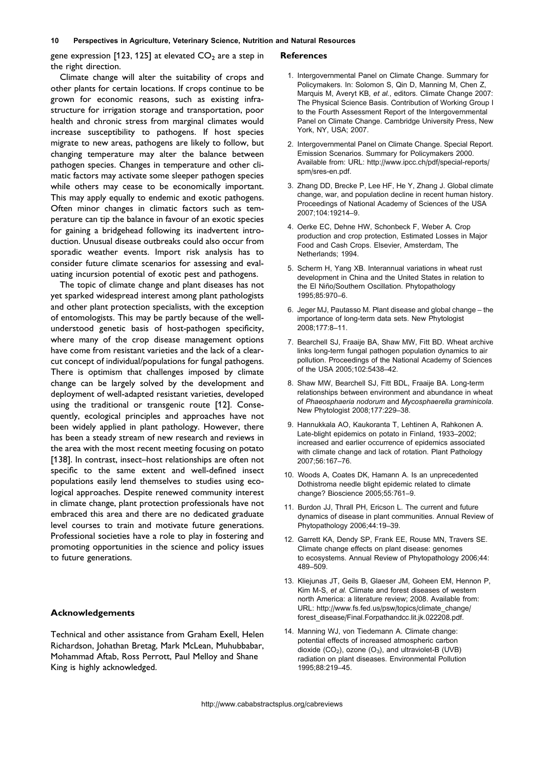gene expression [123, 125] at elevated  $CO<sub>2</sub>$  are a step in the right direction.

Climate change will alter the suitability of crops and other plants for certain locations. If crops continue to be grown for economic reasons, such as existing infrastructure for irrigation storage and transportation, poor health and chronic stress from marginal climates would increase susceptibility to pathogens. If host species migrate to new areas, pathogens are likely to follow, but changing temperature may alter the balance between pathogen species. Changes in temperature and other climatic factors may activate some sleeper pathogen species while others may cease to be economically important. This may apply equally to endemic and exotic pathogens. Often minor changes in climatic factors such as temperature can tip the balance in favour of an exotic species for gaining a bridgehead following its inadvertent introduction. Unusual disease outbreaks could also occur from sporadic weather events. Import risk analysis has to consider future climate scenarios for assessing and evaluating incursion potential of exotic pest and pathogens.

The topic of climate change and plant diseases has not yet sparked widespread interest among plant pathologists and other plant protection specialists, with the exception of entomologists. This may be partly because of the wellunderstood genetic basis of host-pathogen specificity, where many of the crop disease management options have come from resistant varieties and the lack of a clearcut concept of individual/populations for fungal pathogens. There is optimism that challenges imposed by climate change can be largely solved by the development and deployment of well-adapted resistant varieties, developed using the traditional or transgenic route [12]. Consequently, ecological principles and approaches have not been widely applied in plant pathology. However, there has been a steady stream of new research and reviews in the area with the most recent meeting focusing on potato [138]. In contrast, insect-host relationships are often not specific to the same extent and well-defined insect populations easily lend themselves to studies using ecological approaches. Despite renewed community interest in climate change, plant protection professionals have not embraced this area and there are no dedicated graduate level courses to train and motivate future generations. Professional societies have a role to play in fostering and promoting opportunities in the science and policy issues to future generations.

# Acknowledgements

Technical and other assistance from Graham Exell, Helen Richardson, Johathan Bretag, Mark McLean, Muhubbabar, Mohammad Aftab, Ross Perrott, Paul Melloy and Shane King is highly acknowledged.

#### **References**

- 1. Intergovernmental Panel on Climate Change. Summary for Policymakers. In: Solomon S, Qin D, Manning M, Chen Z, Marquis M, Averyt KB, et al., editors. Climate Change 2007: The Physical Science Basis. Contribution of Working Group I to the Fourth Assessment Report of the Intergovernmental Panel on Climate Change. Cambridge University Press, New York, NY, USA; 2007.
- 2. Intergovernmental Panel on Climate Change. Special Report. Emission Scenarios. Summary for Policymakers 2000. Available from: URL: http://www.ipcc.ch/pdf/special-reports/ spm/sres-en.pdf.
- 3. Zhang DD, Brecke P, Lee HF, He Y, Zhang J. Global climate change, war, and population decline in recent human history. Proceedings of National Academy of Sciences of the USA 2007;104:19214–9.
- 4. Oerke EC, Dehne HW, Schonbeck F, Weber A. Crop production and crop protection, Estimated Losses in Major Food and Cash Crops. Elsevier, Amsterdam, The Netherlands; 1994.
- 5. Scherm H, Yang XB. Interannual variations in wheat rust development in China and the United States in relation to the El Niño/Southern Oscillation. Phytopathology 1995;85:970–6.
- 6. Jeger MJ, Pautasso M. Plant disease and global change the importance of long-term data sets. New Phytologist 2008;177:8–11.
- 7. Bearchell SJ, Fraaije BA, Shaw MW, Fitt BD. Wheat archive links long-term fungal pathogen population dynamics to air pollution. Proceedings of the National Academy of Sciences of the USA 2005;102:5438–42.
- 8. Shaw MW, Bearchell SJ, Fitt BDL, Fraaije BA. Long-term relationships between environment and abundance in wheat of Phaeosphaeria nodorum and Mycosphaerella graminicola. New Phytologist 2008;177:229–38.
- 9. Hannukkala AO, Kaukoranta T, Lehtinen A, Rahkonen A. Late-blight epidemics on potato in Finland, 1933–2002; increased and earlier occurrence of epidemics associated with climate change and lack of rotation. Plant Pathology 2007;56:167–76.
- 10. Woods A, Coates DK, Hamann A. Is an unprecedented Dothistroma needle blight epidemic related to climate change? Bioscience 2005;55:761–9.
- 11. Burdon JJ, Thrall PH, Ericson L. The current and future dynamics of disease in plant communities. Annual Review of Phytopathology 2006;44:19–39.
- 12. Garrett KA, Dendy SP, Frank EE, Rouse MN, Travers SE. Climate change effects on plant disease: genomes to ecosystems. Annual Review of Phytopathology 2006;44: 489–509.
- 13. Kliejunas JT, Geils B, Glaeser JM, Goheen EM, Hennon P, Kim M-S, et al. Climate and forest diseases of western north America: a literature review; 2008. Available from: URL: http://www.fs.fed.us/psw/topics/climate\_change/ forest\_disease/Final.Forpathandcc.lit.jk.022208.pdf.
- 14. Manning WJ, von Tiedemann A. Climate change: potential effects of increased atmospheric carbon dioxide  $(CO_2)$ , ozone  $(O_3)$ , and ultraviolet-B (UVB) radiation on plant diseases. Environmental Pollution 1995;88:219–45.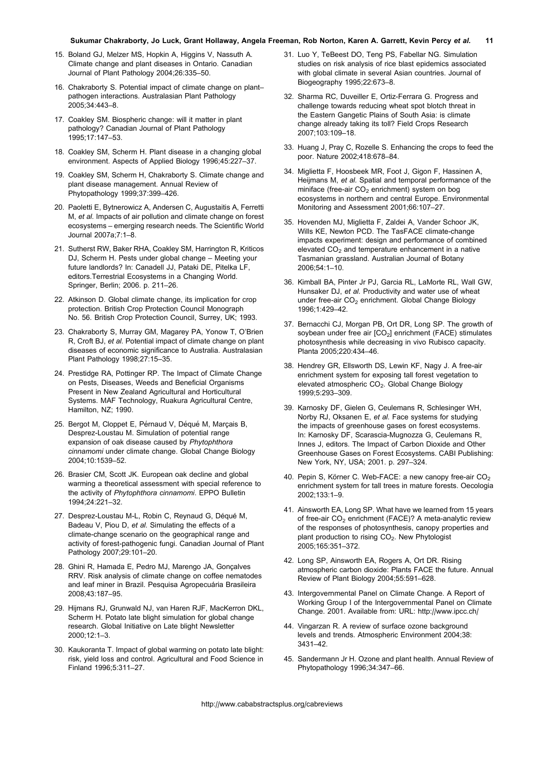#### Sukumar Chakraborty, Jo Luck, Grant Hollaway, Angela Freeman, Rob Norton, Karen A. Garrett, Kevin Percy et al. 11

- 15. Boland GJ, Melzer MS, Hopkin A, Higgins V, Nassuth A. Climate change and plant diseases in Ontario. Canadian Journal of Plant Pathology 2004;26:335–50.
- 16. Chakraborty S. Potential impact of climate change on plant– pathogen interactions. Australasian Plant Pathology 2005;34:443–8.
- 17. Coakley SM. Biospheric change: will it matter in plant pathology? Canadian Journal of Plant Pathology 1995;17:147–53.
- 18. Coakley SM, Scherm H. Plant disease in a changing global environment. Aspects of Applied Biology 1996;45:227–37.
- 19. Coakley SM, Scherm H, Chakraborty S. Climate change and plant disease management. Annual Review of Phytopathology 1999;37:399–426.
- 20. Paoletti E, Bytnerowicz A, Andersen C, Augustaitis A, Ferretti M, et al. Impacts of air pollution and climate change on forest ecosystems – emerging research needs. The Scientific World Journal 2007a;7:1–8.
- 21. Sutherst RW, Baker RHA, Coakley SM, Harrington R, Kriticos DJ, Scherm H. Pests under global change – Meeting your future landlords? In: Canadell JJ, Pataki DE, Pitelka LF, editors.Terrestrial Ecosystems in a Changing World. Springer, Berlin; 2006. p. 211–26.
- 22. Atkinson D. Global climate change, its implication for crop protection. British Crop Protection Council Monograph No. 56. British Crop Protection Council, Surrey, UK; 1993.
- 23. Chakraborty S, Murray GM, Magarey PA, Yonow T, O'Brien R, Croft BJ, et al. Potential impact of climate change on plant diseases of economic significance to Australia. Australasian Plant Pathology 1998;27:15–35.
- 24. Prestidge RA, Pottinger RP. The Impact of Climate Change on Pests, Diseases, Weeds and Beneficial Organisms Present in New Zealand Agricultural and Horticultural Systems. MAF Technology, Ruakura Agricultural Centre, Hamilton, NZ; 1990.
- 25. Bergot M, Cloppet E, Pérnaud V, Déqué M, Marçais B, Desprez-Loustau M. Simulation of potential range expansion of oak disease caused by Phytophthora cinnamomi under climate change. Global Change Biology 2004;10:1539–52.
- 26. Brasier CM, Scott JK. European oak decline and global warming a theoretical assessment with special reference to the activity of Phytophthora cinnamomi. EPPO Bulletin 1994;24:221–32.
- 27. Desprez-Loustau M-L, Robin C, Reynaud G, Déqué M, Badeau V, Piou D, et al. Simulating the effects of a climate-change scenario on the geographical range and activity of forest-pathogenic fungi. Canadian Journal of Plant Pathology 2007;29:101–20.
- 28. Ghini R, Hamada E, Pedro MJ, Marengo JA, Goncalves RRV. Risk analysis of climate change on coffee nematodes and leaf miner in Brazil. Pesquisa Agropecuária Brasileira 2008;43:187–95.
- 29. Hijmans RJ, Grunwald NJ, van Haren RJF, MacKerron DKL, Scherm H. Potato late blight simulation for global change research. Global Initiative on Late blight Newsletter 2000;12:1–3.
- 30. Kaukoranta T. Impact of global warming on potato late blight: risk, yield loss and control. Agricultural and Food Science in Finland 1996;5:311–27.
- 31. Luo Y, TeBeest DO, Teng PS, Fabellar NG. Simulation studies on risk analysis of rice blast epidemics associated with global climate in several Asian countries. Journal of Biogeography 1995;22:673–8.
- 32. Sharma RC, Duveiller E, Ortiz-Ferrara G. Progress and challenge towards reducing wheat spot blotch threat in the Eastern Gangetic Plains of South Asia: is climate change already taking its toll? Field Crops Research 2007;103:109–18.
- 33. Huang J, Pray C, Rozelle S. Enhancing the crops to feed the poor. Nature 2002;418:678–84.
- 34. Miglietta F, Hoosbeek MR, Foot J, Gigon F, Hassinen A, Heijmans M, et al. Spatial and temporal performance of the miniface (free-air  $CO<sub>2</sub>$  enrichment) system on bog ecosystems in northern and central Europe. Environmental Monitoring and Assessment 2001;66:107–27.
- 35. Hovenden MJ, Miglietta F, Zaldei A, Vander Schoor JK, Wills KE, Newton PCD. The TasFACE climate-change impacts experiment: design and performance of combined elevated  $CO<sub>2</sub>$  and temperature enhancement in a native Tasmanian grassland. Australian Journal of Botany 2006;54:1–10.
- 36. Kimball BA, Pinter Jr PJ, Garcia RL, LaMorte RL, Wall GW, Hunsaker DJ, et al. Productivity and water use of wheat under free-air CO<sub>2</sub> enrichment. Global Change Biology 1996;1:429–42.
- 37. Bernacchi CJ, Morgan PB, Ort DR, Long SP. The growth of soybean under free air  $[CO<sub>2</sub>]$  enrichment (FACE) stimulates photosynthesis while decreasing in vivo Rubisco capacity. Planta 2005;220:434–46.
- 38. Hendrey GR, Ellsworth DS, Lewin KF, Nagy J. A free-air enrichment system for exposing tall forest vegetation to elevated atmospheric CO<sub>2</sub>. Global Change Biology 1999;5:293–309.
- 39. Karnosky DF, Gielen G, Ceulemans R, Schlesinger WH, Norby RJ, Oksanen E, et al. Face systems for studying the impacts of greenhouse gases on forest ecosystems. In: Karnosky DF, Scarascia-Mugnozza G, Ceulemans R, Innes J, editors. The Impact of Carbon Dioxide and Other Greenhouse Gases on Forest Ecosystems. CABI Publishing: New York, NY, USA; 2001. p. 297–324.
- 40. Pepin S, Körner C. Web-FACE: a new canopy free-air  $CO<sub>2</sub>$ enrichment system for tall trees in mature forests. Oecologia 2002;133:1–9.
- 41. Ainsworth EA, Long SP. What have we learned from 15 years of free-air CO<sub>2</sub> enrichment (FACE)? A meta-analytic review of the responses of photosynthesis, canopy properties and plant production to rising CO<sub>2</sub>. New Phytologist 2005;165:351–372.
- 42. Long SP, Ainsworth EA, Rogers A, Ort DR. Rising atmospheric carbon dioxide: Plants FACE the future. Annual Review of Plant Biology 2004;55:591–628.
- 43. Intergovernmental Panel on Climate Change. A Report of Working Group I of the Intergovernmental Panel on Climate Change. 2001. Available from: URL: http://www.ipcc.ch/
- 44. Vingarzan R. A review of surface ozone background levels and trends. Atmospheric Environment 2004;38: 3431–42.
- 45. Sandermann Jr H. Ozone and plant health. Annual Review of Phytopathology 1996;34:347–66.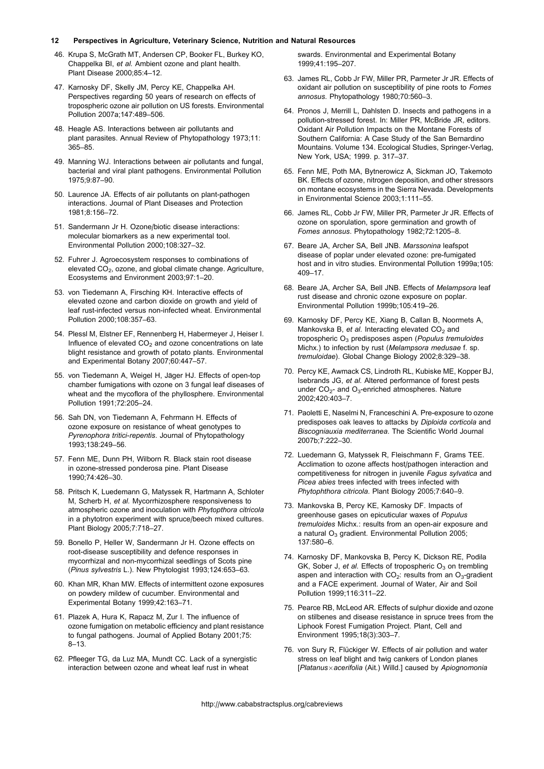#### 12 Perspectives in Agriculture, Veterinary Science, Nutrition and Natural Resources

- 46. Krupa S, McGrath MT, Andersen CP, Booker FL, Burkey KO, Chappelka BI, et al. Ambient ozone and plant health. Plant Disease 2000;85:4–12.
- 47. Karnosky DF, Skelly JM, Percy KE, Chappelka AH. Perspectives regarding 50 years of research on effects of tropospheric ozone air pollution on US forests. Environmental Pollution 2007a;147:489–506.
- 48. Heagle AS. Interactions between air pollutants and plant parasites. Annual Review of Phytopathology 1973;11: 365–85.
- 49. Manning WJ. Interactions between air pollutants and fungal, bacterial and viral plant pathogens. Environmental Pollution 1975;9:87–90.
- 50. Laurence JA. Effects of air pollutants on plant-pathogen interactions. Journal of Plant Diseases and Protection 1981;8:156–72.
- 51. Sandermann Jr H. Ozone/biotic disease interactions: molecular biomarkers as a new experimental tool. Environmental Pollution 2000;108:327–32.
- 52. Fuhrer J. Agroecosystem responses to combinations of elevated CO<sub>2</sub>, ozone, and global climate change. Agriculture, Ecosystems and Environment 2003;97:1–20.
- 53. von Tiedemann A, Firsching KH. Interactive effects of elevated ozone and carbon dioxide on growth and yield of leaf rust-infected versus non-infected wheat. Environmental Pollution 2000;108:357–63.
- 54. Plessl M, Elstner EF, Rennenberg H, Habermeyer J, Heiser I. Influence of elevated  $CO<sub>2</sub>$  and ozone concentrations on late blight resistance and growth of potato plants. Environmental and Experimental Botany 2007;60:447–57.
- 55. von Tiedemann A, Weigel H, Jäger HJ. Effects of open-top chamber fumigations with ozone on 3 fungal leaf diseases of wheat and the mycoflora of the phyllosphere. Environmental Pollution 1991;72:205–24.
- 56. Sah DN, von Tiedemann A, Fehrmann H. Effects of ozone exposure on resistance of wheat genotypes to Pyrenophora tritici-repentis. Journal of Phytopathology 1993;138:249–56.
- 57. Fenn ME, Dunn PH, Wilborn R. Black stain root disease in ozone-stressed ponderosa pine. Plant Disease 1990;74:426–30.
- 58. Pritsch K, Luedemann G, Matyssek R, Hartmann A, Schloter M, Scherb H, et al. Mycorrhizosphere responsiveness to atmospheric ozone and inoculation with Phytopthora citricola in a phytotron experiment with spruce/beech mixed cultures. Plant Biology 2005;7:718–27.
- 59. Bonello P, Heller W, Sandermann Jr H. Ozone effects on root-disease susceptibility and defence responses in mycorrhizal and non-mycorrhizal seedlings of Scots pine (Pinus sylvestris L.). New Phytologist 1993;124:653–63.
- 60. Khan MR, Khan MW. Effects of intermittent ozone exposures on powdery mildew of cucumber. Environmental and Experimental Botany 1999;42:163–71.
- 61. Plazek A, Hura K, Rapacz M, Zur I. The influence of ozone fumigation on metabolic efficiency and plant resistance to fungal pathogens. Journal of Applied Botany 2001;75: 8–13.
- 62. Pfleeger TG, da Luz MA, Mundt CC. Lack of a synergistic interaction between ozone and wheat leaf rust in wheat

swards. Environmental and Experimental Botany 1999;41:195–207.

- 63. James RL, Cobb Jr FW, Miller PR, Parmeter Jr JR. Effects of oxidant air pollution on susceptibility of pine roots to Fomes annosus. Phytopathology 1980;70:560–3.
- 64. Pronos J, Merrill L, Dahlsten D. Insects and pathogens in a pollution-stressed forest. In: Miller PR, McBride JR, editors. Oxidant Air Pollution Impacts on the Montane Forests of Southern California: A Case Study of the San Bernardino Mountains. Volume 134. Ecological Studies, Springer-Verlag, New York, USA; 1999. p. 317–37.
- 65. Fenn ME, Poth MA, Bytnerowicz A, Sickman JO, Takemoto BK. Effects of ozone, nitrogen deposition, and other stressors on montane ecosystems in the Sierra Nevada. Developments in Environmental Science 2003;1:111–55.
- 66. James RL, Cobb Jr FW, Miller PR, Parmeter Jr JR. Effects of ozone on sporulation, spore germination and growth of Fomes annosus. Phytopathology 1982;72:1205–8.
- 67. Beare JA, Archer SA, Bell JNB. Marssonina leafspot disease of poplar under elevated ozone: pre-fumigated host and in vitro studies. Environmental Pollution 1999a;105: 409–17.
- 68. Beare JA, Archer SA, Bell JNB. Effects of Melampsora leaf rust disease and chronic ozone exposure on poplar. Environmental Pollution 1999b;105:419–26.
- 69. Karnosky DF, Percy KE, Xiang B, Callan B, Noormets A, Mankovska B, et al. Interacting elevated  $CO<sub>2</sub>$  and tropospheric  $O<sub>3</sub>$  predisposes aspen (Populus tremuloides Michx.) to infection by rust (Melampsora medusae f. sp. tremuloidae). Global Change Biology 2002;8:329–38.
- 70. Percy KE, Awmack CS, Lindroth RL, Kubiske ME, Kopper BJ, Isebrands JG, et al. Altered performance of forest pests under  $CO_{2}$ - and  $O_{3}$ -enriched atmospheres. Nature 2002;420:403–7.
- 71. Paoletti E, Naselmi N, Franceschini A. Pre-exposure to ozone predisposes oak leaves to attacks by Diploida corticola and Biscogniauxia mediterranea. The Scientific World Journal 2007b;7:222–30.
- 72. Luedemann G, Matyssek R, Fleischmann F, Grams TEE. Acclimation to ozone affects host/pathogen interaction and competitiveness for nitrogen in juvenile Fagus sylvatica and Picea abies trees infected with trees infected with Phytophthora citricola. Plant Biology 2005;7:640–9.
- 73. Mankovska B, Percy KE, Karnosky DF. Impacts of greenhouse gases on epicuticular waxes of Populus tremuloides Michx.: results from an open-air exposure and a natural  $O_3$  gradient. Environmental Pollution 2005; 137:580–6.
- 74. Karnosky DF, Mankovska B, Percy K, Dickson RE, Podila GK, Sober J, et al. Effects of tropospheric  $O_3$  on trembling aspen and interaction with  $CO<sub>2</sub>$ : results from an  $O<sub>3</sub>$ -gradient and a FACE experiment. Journal of Water, Air and Soil Pollution 1999;116:311–22.
- 75. Pearce RB, McLeod AR. Effects of sulphur dioxide and ozone on stilbenes and disease resistance in spruce trees from the Liphook Forest Fumigation Project. Plant, Cell and Environment 1995;18(3):303–7.
- 76. von Sury R, Flückiger W. Effects of air pollution and water stress on leaf blight and twig cankers of London planes [Platanus×acerifolia (Ait.) Willd.] caused by Apiognomonia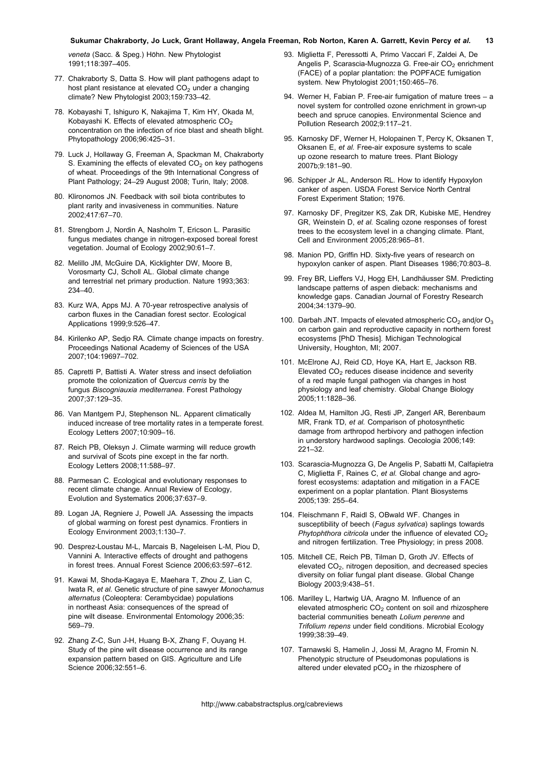#### Sukumar Chakraborty, Jo Luck, Grant Hollaway, Angela Freeman, Rob Norton, Karen A. Garrett, Kevin Percy et al. 13

veneta (Sacc. & Speg.) Höhn. New Phytologist 1991;118:397–405.

- 77. Chakraborty S, Datta S. How will plant pathogens adapt to host plant resistance at elevated  $CO<sub>2</sub>$  under a changing climate? New Phytologist 2003;159:733–42.
- 78. Kobayashi T, Ishiguro K, Nakajima T, Kim HY, Okada M, Kobayashi K. Effects of elevated atmospheric CO<sub>2</sub> concentration on the infection of rice blast and sheath blight. Phytopathology 2006;96:425–31.
- 79. Luck J, Hollaway G, Freeman A, Spackman M, Chakraborty S. Examining the effects of elevated  $CO<sub>2</sub>$  on key pathogens of wheat. Proceedings of the 9th International Congress of Plant Pathology; 24–29 August 2008; Turin, Italy; 2008.
- 80. Klironomos JN. Feedback with soil biota contributes to plant rarity and invasiveness in communities. Nature 2002;417:67–70.
- 81. Strengbom J, Nordin A, Nasholm T, Ericson L. Parasitic fungus mediates change in nitrogen-exposed boreal forest vegetation. Journal of Ecology 2002;90:61–7.
- 82. Melillo JM, McGuire DA, Kicklighter DW, Moore B, Vorosmarty CJ, Scholl AL. Global climate change and terrestrial net primary production. Nature 1993;363: 234–40.
- 83. Kurz WA, Apps MJ. A 70-year retrospective analysis of carbon fluxes in the Canadian forest sector. Ecological Applications 1999;9:526–47.
- 84. Kirilenko AP, Sedjo RA. Climate change impacts on forestry. Proceedings National Academy of Sciences of the USA 2007;104:19697–702.
- 85. Capretti P, Battisti A. Water stress and insect defoliation promote the colonization of Quercus cerris by the fungus Biscogniauxia mediterranea. Forest Pathology 2007;37:129–35.
- 86. Van Mantgem PJ, Stephenson NL. Apparent climatically induced increase of tree mortality rates in a temperate forest. Ecology Letters 2007;10:909–16.
- 87. Reich PB, Oleksyn J. Climate warming will reduce growth and survival of Scots pine except in the far north. Ecology Letters 2008;11:588–97.
- 88. Parmesan C. Ecological and evolutionary responses to recent climate change. Annual Review of Ecology, Evolution and Systematics 2006;37:637–9.
- 89. Logan JA, Regniere J, Powell JA. Assessing the impacts of global warming on forest pest dynamics. Frontiers in Ecology Environment 2003;1:130–7.
- 90. Desprez-Loustau M-L, Marcais B, Nageleisen L-M, Piou D, Vannini A. Interactive effects of drought and pathogens in forest trees. Annual Forest Science 2006;63:597–612.
- 91. Kawai M, Shoda-Kagaya E, Maehara T, Zhou Z, Lian C, Iwata R, et al. Genetic structure of pine sawyer Monochamus alternatus (Coleoptera: Cerambycidae) populations in northeast Asia: consequences of the spread of pine wilt disease. Environmental Entomology 2006;35: 569–79.
- 92. Zhang Z-C, Sun J-H, Huang B-X, Zhang F, Ouyang H. Study of the pine wilt disease occurrence and its range expansion pattern based on GIS. Agriculture and Life Science 2006;32:551–6.
- 93. Miglietta F, Peressotti A, Primo Vaccari F, Zaldei A, De Angelis P, Scarascia-Mugnozza G. Free-air  $CO<sub>2</sub>$  enrichment (FACE) of a poplar plantation: the POPFACE fumigation system. New Phytologist 2001;150:465–76.
- 94. Werner H, Fabian P. Free-air fumigation of mature trees a novel system for controlled ozone enrichment in grown-up beech and spruce canopies. Environmental Science and Pollution Research 2002;9:117–21.
- 95. Karnosky DF, Werner H, Holopainen T, Percy K, Oksanen T, Oksanen E, et al. Free-air exposure systems to scale up ozone research to mature trees. Plant Biology 2007b;9:181–90.
- 96. Schipper Jr AL, Anderson RL. How to identify Hypoxylon canker of aspen. USDA Forest Service North Central Forest Experiment Station; 1976.
- 97. Karnosky DF, Pregitzer KS, Zak DR, Kubiske ME, Hendrey GR, Weinstein D, et al. Scaling ozone responses of forest trees to the ecosystem level in a changing climate. Plant, Cell and Environment 2005;28:965–81.
- 98. Manion PD, Griffin HD. Sixty-five years of research on hypoxylon canker of aspen. Plant Diseases 1986;70:803–8.
- 99. Frey BR, Lieffers VJ, Hogg EH, Landhäusser SM. Predicting landscape patterns of aspen dieback: mechanisms and knowledge gaps. Canadian Journal of Forestry Research 2004;34:1379–90.
- 100. Darbah JNT. Impacts of elevated atmospheric  $CO<sub>2</sub>$  and/or  $O<sub>3</sub>$ on carbon gain and reproductive capacity in northern forest ecosystems [PhD Thesis]. Michigan Technological University, Houghton, MI; 2007.
- 101. McElrone AJ, Reid CD, Hoye KA, Hart E, Jackson RB. Elevated  $CO<sub>2</sub>$  reduces disease incidence and severity of a red maple fungal pathogen via changes in host physiology and leaf chemistry. Global Change Biology 2005;11:1828–36.
- 102. Aldea M, Hamilton JG, Resti JP, Zangerl AR, Berenbaum MR, Frank TD, et al. Comparison of photosynthetic damage from arthropod herbivory and pathogen infection in understory hardwood saplings. Oecologia 2006;149: 221–32.
- 103. Scarascia-Mugnozza G, De Angelis P, Sabatti M, Calfapietra C, Miglietta F, Raines C, et al. Global change and agroforest ecosystems: adaptation and mitigation in a FACE experiment on a poplar plantation. Plant Biosystems 2005;139: 255–64.
- 104. Fleischmann F, Raidl S, OBwald WF. Changes in susceptibility of beech (Fagus sylvatica) saplings towards Phytophthora citricola under the influence of elevated  $CO<sub>2</sub>$ and nitrogen fertilization. Tree Physiology; in press 2008.
- 105. Mitchell CE, Reich PB, Tilman D, Groth JV. Effects of elevated CO2, nitrogen deposition, and decreased species diversity on foliar fungal plant disease. Global Change Biology 2003;9:438–51.
- 106. Marilley L, Hartwig UA, Aragno M. Influence of an elevated atmospheric  $CO<sub>2</sub>$  content on soil and rhizosphere bacterial communities beneath Lolium perenne and Trifolium repens under field conditions. Microbial Ecology 1999;38:39–49.
- 107. Tarnawski S, Hamelin J, Jossi M, Aragno M, Fromin N. Phenotypic structure of Pseudomonas populations is altered under elevated  $pCO<sub>2</sub>$  in the rhizosphere of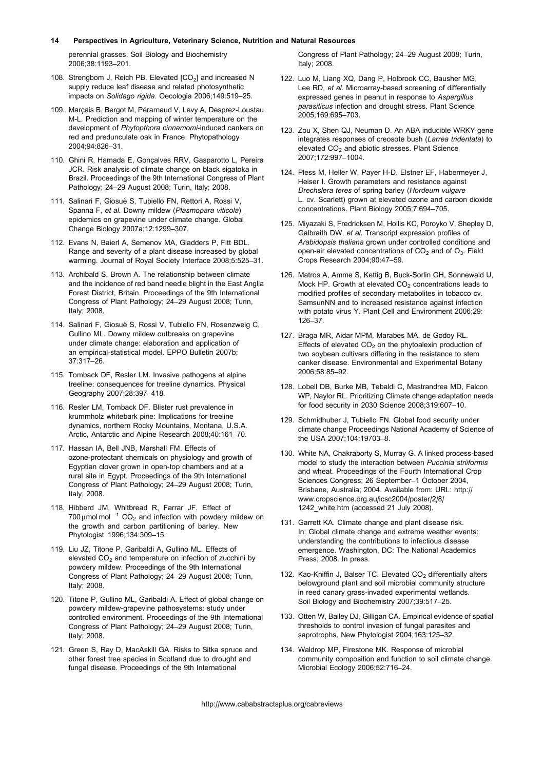#### 14 Perspectives in Agriculture, Veterinary Science, Nutrition and Natural Resources

perennial grasses. Soil Biology and Biochemistry 2006;38:1193–201.

- 108. Strengbom J, Reich PB. Elevated  $[CO<sub>2</sub>]$  and increased N supply reduce leaf disease and related photosynthetic impacts on Solidago rigida. Oecologia 2006;149:519–25.
- 109. Marçais B, Bergot M, Pérarnaud V, Levy A, Desprez-Loustau M-L. Prediction and mapping of winter temperature on the development of Phytopthora cinnamomi-induced cankers on red and predunculate oak in France. Phytopathology 2004;94:826–31.
- 110. Ghini R, Hamada E, Gonçalves RRV, Gasparotto L, Pereira JCR. Risk analysis of climate change on black sigatoka in Brazil. Proceedings of the 9th International Congress of Plant Pathology; 24–29 August 2008; Turin, Italy; 2008.
- 111. Salinari F, Giosuè S, Tubiello FN, Rettori A, Rossi V, Spanna F, et al. Downy mildew (Plasmopara viticola) epidemics on grapevine under climate change. Global Change Biology 2007a;12:1299–307.
- 112. Evans N, Baierl A, Semenov MA, Gladders P, Fitt BDL. Range and severity of a plant disease increased by global warming. Journal of Royal Society Interface 2008;5:525–31.
- 113. Archibald S, Brown A. The relationship between climate and the incidence of red band needle blight in the East Anglia Forest District, Britain. Proceedings of the 9th International Congress of Plant Pathology; 24–29 August 2008; Turin, Italy; 2008.
- 114. Salinari F, Giosuè S, Rossi V, Tubiello FN, Rosenzweig C, Gullino ML. Downy mildew outbreaks on grapevine under climate change: elaboration and application of an empirical-statistical model. EPPO Bulletin 2007b; 37:317–26.
- 115. Tomback DF, Resler LM. Invasive pathogens at alpine treeline: consequences for treeline dynamics. Physical Geography 2007;28:397–418.
- 116. Resler LM, Tomback DF. Blister rust prevalence in krummholz whitebark pine: Implications for treeline dynamics, northern Rocky Mountains, Montana, U.S.A. Arctic, Antarctic and Alpine Research 2008;40:161–70.
- 117. Hassan IA, Bell JNB, Marshall FM. Effects of ozone-protectant chemicals on physiology and growth of Egyptian clover grown in open-top chambers and at a rural site in Egypt. Proceedings of the 9th International Congress of Plant Pathology; 24–29 August 2008; Turin, Italy; 2008.
- 118. Hibberd JM, Whitbread R, Farrar JF. Effect of  $700 \mu$ mol mol<sup>-1</sup> CO<sub>2</sub> and infection with powdery mildew on the growth and carbon partitioning of barley. New Phytologist 1996;134:309–15.
- 119. Liu JZ, Titone P, Garibaldi A, Gullino ML. Effects of elevated  $CO<sub>2</sub>$  and temperature on infection of zucchini by powdery mildew. Proceedings of the 9th International Congress of Plant Pathology; 24–29 August 2008; Turin, Italy; 2008.
- 120. Titone P, Gullino ML, Garibaldi A. Effect of global change on powdery mildew-grapevine pathosystems: study under controlled environment. Proceedings of the 9th International Congress of Plant Pathology; 24–29 August 2008; Turin, Italy; 2008.
- 121. Green S, Ray D, MacAskill GA. Risks to Sitka spruce and other forest tree species in Scotland due to drought and fungal disease. Proceedings of the 9th International

Congress of Plant Pathology; 24–29 August 2008; Turin, Italy; 2008.

- 122. Luo M, Liang XQ, Dang P, Holbrook CC, Bausher MG, Lee RD, et al. Microarray-based screening of differentially expressed genes in peanut in response to Aspergillus parasiticus infection and drought stress. Plant Science 2005;169:695–703.
- 123. Zou X, Shen QJ, Neuman D. An ABA inducible WRKY gene integrates responses of creosote bush (Larrea tridentata) to elevated  $CO<sub>2</sub>$  and abiotic stresses. Plant Science 2007;172:997–1004.
- 124. Pless M, Heller W, Payer H-D, Elstner EF, Habermeyer J, Heiser I. Growth parameters and resistance against Drechslera teres of spring barley (Hordeum vulgare L. cv. Scarlett) grown at elevated ozone and carbon dioxide concentrations. Plant Biology 2005;7:694–705.
- 125. Miyazaki S, Fredricksen M, Hollis KC, Poroyko V, Shepley D, Galbraith DW, et al. Transcript expression profiles of Arabidopsis thaliana grown under controlled conditions and open-air elevated concentrations of  $CO<sub>2</sub>$  and of  $O<sub>3</sub>$ . Field Crops Research 2004;90:47–59.
- 126. Matros A, Amme S, Kettig B, Buck-Sorlin GH, Sonnewald U, Mock HP. Growth at elevated  $CO<sub>2</sub>$  concentrations leads to modified profiles of secondary metabolites in tobacco cv. SamsunNN and to increased resistance against infection with potato virus Y. Plant Cell and Environment 2006;29: 126–37.
- 127. Braga MR, Aidar MPM, Marabes MA, de Godoy RL. Effects of elevated  $CO<sub>2</sub>$  on the phytoalexin production of two soybean cultivars differing in the resistance to stem canker disease. Environmental and Experimental Botany 2006;58:85–92.
- 128. Lobell DB, Burke MB, Tebaldi C, Mastrandrea MD, Falcon WP, Naylor RL. Prioritizing Climate change adaptation needs for food security in 2030 Science 2008;319:607–10.
- 129. Schmidhuber J, Tubiello FN. Global food security under climate change Proceedings National Academy of Science of the USA 2007;104:19703–8.
- 130. White NA, Chakraborty S, Murray G. A linked process-based model to study the interaction between Puccinia striiformis and wheat. Proceedings of the Fourth International Crop Sciences Congress; 26 September–1 October 2004, Brisbane, Australia; 2004. Available from: URL: http:// www.cropscience.org.au/icsc2004/poster/2/8/ 1242 white.htm (accessed 21 July 2008).
- 131. Garrett KA. Climate change and plant disease risk. In: Global climate change and extreme weather events: understanding the contributions to infectious disease emergence. Washington, DC: The National Academics Press; 2008. In press.
- 132. Kao-Kniffin J, Balser TC. Elevated  $CO<sub>2</sub>$  differentially alters belowground plant and soil microbial community structure in reed canary grass-invaded experimental wetlands. Soil Biology and Biochemistry 2007;39:517–25.
- 133. Otten W, Bailey DJ, Gilligan CA. Empirical evidence of spatial thresholds to control invasion of fungal parasites and saprotrophs. New Phytologist 2004;163:125–32.
- 134. Waldrop MP, Firestone MK. Response of microbial community composition and function to soil climate change. Microbial Ecology 2006;52:716–24.